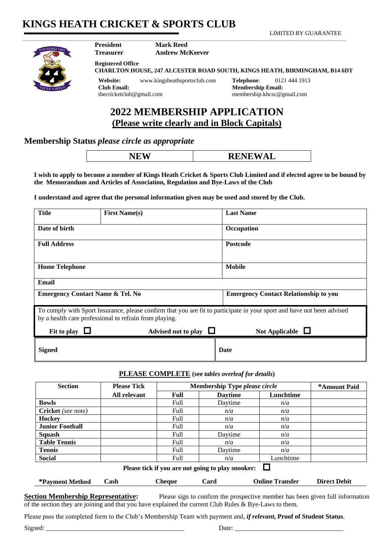# **KINGS HEATH CRICKET & SPORTS CLUB**

LIMITED BY GUARANTEE



**Mark Reed Andrew McKeever**

\_\_\_\_\_\_\_\_\_\_\_\_\_\_\_\_\_\_\_\_\_\_\_\_\_\_\_\_\_\_\_\_\_\_\_\_\_\_\_\_\_\_\_\_\_\_\_\_\_\_\_\_\_\_\_\_\_\_\_\_\_\_\_\_\_\_\_\_\_\_\_\_\_\_\_\_\_\_\_\_\_\_\_\_\_\_\_\_\_\_\_\_\_\_\_\_\_\_\_\_\_\_\_\_\_\_\_\_\_\_\_\_\_\_\_\_\_\_\_\_\_\_\_\_\_\_\_\_\_\_\_\_\_\_\_\_\_\_\_\_\_\_\_\_\_\_\_\_\_\_\_\_\_\_\_\_\_\_\_\_\_\_\_\_

**Treasurer Registered Office**

**President**

**CHARLTON HOUSE, 247 ALCESTER ROAD SOUTH, KINGS HEATH, BIRMINGHAM, B14 6DT**

**Website:** www.kingsheathsportsclub.com **Telephone**: 0121 444 1913 **Club Email:** thecricketclub@gmail.com

**Membership Email:** membership.khcsc@gmail,com

# **2022 MEMBERSHIP APPLICATION (Please write clearly and in Block Capitals)**

### **Membership Status** *please circle as appropriate*

| ____ | <b>TATTATTIVE</b><br>IТ.<br>AL<br><b>AVALI</b> |
|------|------------------------------------------------|
|      |                                                |

**I wish to apply to become a member of Kings Heath Cricket & Sports Club Limited and if elected agree to be bound by the Memorandum and Articles of Association, Regulation and Bye-Laws of the Club**

**I understand and agree that the personal information given may be used and stored by the Club.**

| <b>Title</b>                                                                                                                                                                     | <b>First Name(s)</b>     | <b>Last Name</b>                             |  |  |
|----------------------------------------------------------------------------------------------------------------------------------------------------------------------------------|--------------------------|----------------------------------------------|--|--|
| Date of birth                                                                                                                                                                    |                          | Occupation                                   |  |  |
| <b>Full Address</b>                                                                                                                                                              |                          | <b>Postcode</b>                              |  |  |
| <b>Home Telephone</b>                                                                                                                                                            |                          | <b>Mobile</b>                                |  |  |
| Email                                                                                                                                                                            |                          |                                              |  |  |
| <b>Emergency Contact Name &amp; Tel. No</b>                                                                                                                                      |                          | <b>Emergency Contact Relationship to you</b> |  |  |
| To comply with Sport Insurance, please confirm that you are fit to participate in your sport and have not been advised<br>by a health care professional to refrain from playing. |                          |                                              |  |  |
| Fit to play                                                                                                                                                                      | ⊔<br>Advised not to play | Not Applicable $\Box$                        |  |  |
| <b>Signed</b>                                                                                                                                                                    |                          | Date                                         |  |  |

### **PLEASE COMPLETE (see** *tables overleaf for details***)**

| <b>Section</b>                                    | <b>Please Tick</b> | <b>Membership Type please circle</b> |                | *Amount Paid |  |
|---------------------------------------------------|--------------------|--------------------------------------|----------------|--------------|--|
|                                                   | All relevant       | Full                                 | <b>Daytime</b> | Lunchtime    |  |
| <b>Bowls</b>                                      |                    | Full                                 | Daytime        | n/a          |  |
| Cricket (see note)                                |                    | Full                                 | n/a            | n/a          |  |
| <b>Hockey</b>                                     |                    | Full                                 | n/a            | n/a          |  |
| <b>Junior Football</b>                            |                    | <b>Full</b>                          | n/a            | n/a          |  |
| <b>Squash</b>                                     |                    | Full                                 | Davtime        | n/a          |  |
| <b>Table Tennis</b>                               |                    | Full                                 | n/a            | n/a          |  |
| <b>Tennis</b>                                     |                    | <b>Full</b>                          | Daytime        | n/a          |  |
| <b>Social</b>                                     |                    | Full                                 | n/a            | Lunchtime    |  |
| Please tick if you are not going to play snooker: |                    |                                      |                |              |  |

**\*Payment Method Cash Cheque Card Online Transfer Direct Debit**

**Section Membership Representative:** Please sign to confirm the prospective member has been given full information of the section they are joining and that you have explained the current Club Rules & Bye-Laws to them.

Please pass the completed form to the Club's Membership Team with payment and*, if relevant***, Proof of Student Status**.

Signed: \_\_\_\_\_\_\_\_\_\_\_\_\_\_\_\_\_\_\_\_\_\_\_\_\_\_\_\_\_\_\_\_\_\_\_\_\_\_\_\_\_\_ Date: \_\_\_\_\_\_\_\_\_\_\_\_\_\_\_\_\_\_\_\_\_\_\_\_\_\_\_\_\_\_\_\_\_